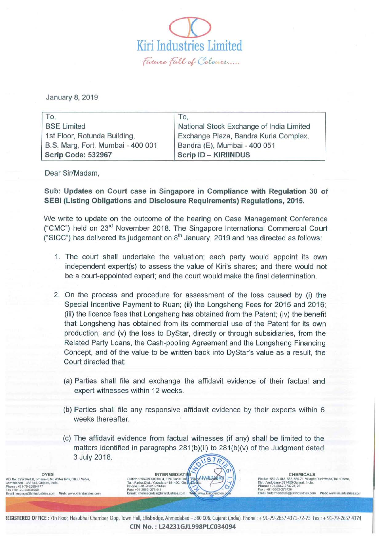$\overline{\mathcal{Q}}$ Kiri Industries Limited Future Full of Colours.....

January 8, 2019

| To,                               | To.                                      |
|-----------------------------------|------------------------------------------|
| <b>BSE Limited</b>                | National Stock Exchange of India Limited |
| 1st Floor, Rotunda Building,      | Exchange Plaza, Bandra Kurla Complex,    |
| B.S. Marg, Fort, Mumbai - 400 001 | Bandra (E), Mumbai - 400 051             |
| Scrip Code: 532967                | Scrip ID - KIRIINDUS                     |

Dear Sir/Madam,

Sub: Updates on Court case in Singapore in Compliance with Regulation 30 of SEBI (Listing Obligations and Disclosure Requirements) Regulations, 2015.

We write to update on the outcome of the hearing on Case Management Conference ("CMC") held on 23<sup>rd</sup> November 2018. The Singapore International Commercial Court ("SICC") has delivered its judgement on  $8<sup>th</sup>$  January, 2019 and has directed as follows:

- 1. The court shall undertake the valuation; each party would appoint its own independent expert(s) to assess the value of Kiri's shares; and there would not be a court-appointed expert; and the court would make the final determination.
- 2. On the process and procedure for assessment of the loss caused by (i) the Special Incentive Payment to Ruan; (ii) the Longsheng Fees for 2015 and 2016; (iii) the licence fees that Longsheng has obtained from the Patent; (iv) the benefit that Longsheng has obtained from its commercial use of the Patent for its own production; and (v) the loss to DyStar, directly or through subsidiaries, from the Related Party Loans, the Cash-pooling Agreement and the Longsheng Financing Concept, and Of the value to be written back into OyStar's value as a result, the Court directed that:
	- (a) Parties shall file and exchange the affidavit evidence of their factual and expert witnesses within 12 weeks.
	- (b) Parties shall file any responsive affidavit evidence by their experts within 6 weeks thereafter.
	- (c) The affidavit evidence from factual witnesses (if any) shall be limited to the matters identified in paragraphs  $281(b)(ii)$  to  $281(b)(v)$  of the Judgment dated 3 July 2018. USTR

Ahmedabad - 362445, Gujaral, India. Tal. : Padra, Dis!. :Vadodara -391450. C;ul,,,,IJIA'IIa. Dis!. : Vadodara-391 450 Gujarat • India. Phone: +91 -79-25894477 Phone: +91-2662-273444 Phone: +91-2662-273724, 25 Fax : +91-79-25834960 Fax: +91-2662-273444 Fax: +91 -2662-273726

DYES

**CHEMICALS** Plot No: 299/1/A& B, Phase-II, Nr. Water Tank, GIDC, Vatva, Plot No: 396/399/403/404, EPC Canal Roa<mark>q, Village\Dudhwada, AM</mark> New Plot No : 552-A, 566, 567, 569-71, Village: Dudhwada, Tal.: Padra, Phone : 491-2682-273724, 25894477<br>Fax : 491-2662-273726<br>Email : Intermodiates@kirindustries.com Mexican Mexican Email : Intermodiates@kirindustries.com Mexican Email<br>- Email : Intermodiates@kirindustries.com Mexican Email

**INTERMEDIATI**